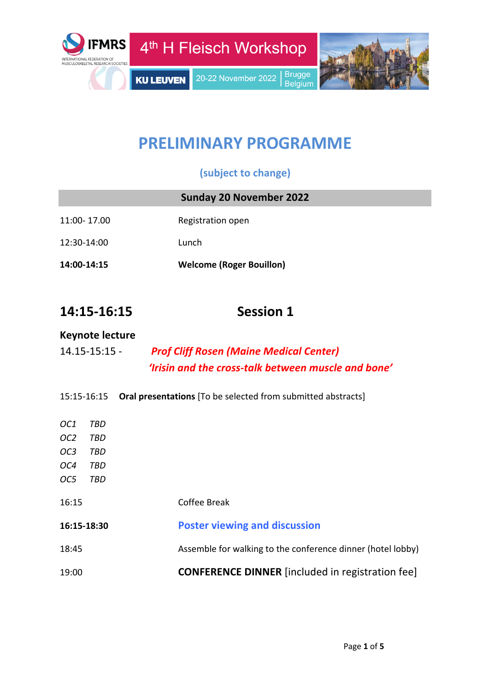

# **PRELIMINARY PROGRAMME**

## **(subject to change)**

|             | <b>Sunday 20 November 2022</b>  |
|-------------|---------------------------------|
| 11:00-17.00 | Registration open               |
| 12:30-14:00 | Lunch                           |
| 14:00-14:15 | <b>Welcome (Roger Bouillon)</b> |

# **14:15-16:15 Session 1**

#### **Keynote lecture**

| $14.15 - 15:15 -$ | <b>Prof Cliff Rosen (Maine Medical Center)</b>      |
|-------------------|-----------------------------------------------------|
|                   | 'Irisin and the cross-talk between muscle and bone' |

15:15-16:15 **Oral presentations** [To be selected from submitted abstracts]

| 19:00           |     | <b>CONFERENCE DINNER</b> [included in registration fee]     |
|-----------------|-----|-------------------------------------------------------------|
| 18:45           |     | Assemble for walking to the conference dinner (hotel lobby) |
| 16:15-18:30     |     | <b>Poster viewing and discussion</b>                        |
| 16:15           |     | Coffee Break                                                |
| OC <sub>5</sub> | TBD |                                                             |
| OC4             | TBD |                                                             |
| OC <sub>3</sub> | TBD |                                                             |
| OC <sub>2</sub> | TBD |                                                             |
| OC1             | TBD |                                                             |
|                 |     |                                                             |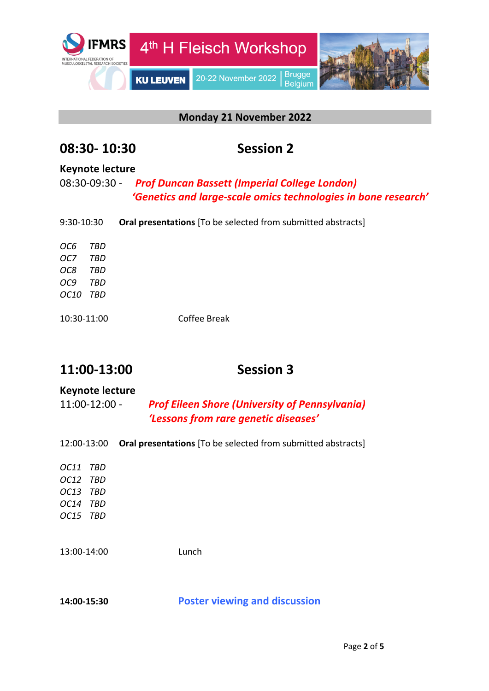

#### **Monday 21 November 2022**

## **08:30- 10:30 Session 2**

#### **Keynote lecture**

08:30-09:30 - *Prof Duncan Bassett (Imperial College London) 'Genetics and large-scale omics technologies in bone research'* 

| 9:30-10:30  |     | <b>Oral presentations</b> [To be selected from submitted abstracts] |
|-------------|-----|---------------------------------------------------------------------|
| OC6         | TBD |                                                                     |
| OC7         | TBD |                                                                     |
| OC8         | TBD |                                                                     |
| OC9         | TBD |                                                                     |
| <i>OC10</i> | TBD |                                                                     |
|             |     |                                                                     |
| 10:30-11:00 |     | Coffee Break                                                        |

# **11:00-13:00 Session 3**

#### **Keynote lecture**

11:00-12:00 - *Prof Eileen Shore (University of Pennsylvania) 'Lessons from rare genetic diseases'*

| 12:00-13:00 | <b>Oral presentations</b> [To be selected from submitted abstracts] |
|-------------|---------------------------------------------------------------------|
| OC11<br>TBD |                                                                     |
| OC12 TBD    |                                                                     |
| OC13<br>TBD |                                                                     |
| OC14<br>TBD |                                                                     |
| OC15 TBD    |                                                                     |
|             |                                                                     |
| 13:00-14:00 | Lunch                                                               |
|             |                                                                     |
|             |                                                                     |
| 14:00-15:30 | <b>Poster viewing and discussion</b>                                |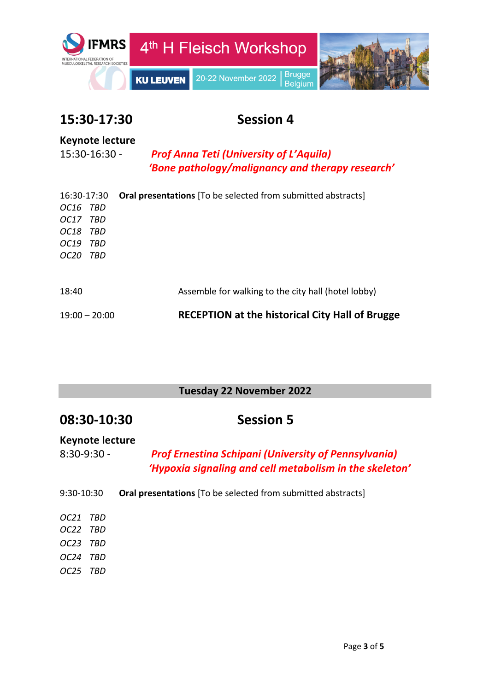

# **15:30-17:30 Session 4**

### **Keynote lecture**

15:30-16:30 - *Prof Anna Teti (University of L'Aquila) 'Bone pathology/malignancy and therapy research'*

| 16:30-17:30        | <b>Oral presentations</b> [To be selected from submitted abstracts] |
|--------------------|---------------------------------------------------------------------|
| OC16 TBD           |                                                                     |
| OC17 TBD           |                                                                     |
| <i>OC18</i><br>TBD |                                                                     |
| OC19<br>TBD        |                                                                     |
| <i>OC20</i><br>TBD |                                                                     |
|                    |                                                                     |
|                    |                                                                     |
| 18:40              | Assemble for walking to the city hall (hotel lobby)                 |
|                    |                                                                     |
| $19:00 - 20:00$    | <b>RECEPTION at the historical City Hall of Brugge</b>              |

### **Tuesday 22 November 2022**

| 08:30-10:30 |  |
|-------------|--|
|-------------|--|

**Session 5** 

### **Keynote lecture**

8:30-9:30 - *Prof Ernestina Schipani (University of Pennsylvania) 'Hypoxia signaling and cell metabolism in the skeleton'*

- 9:30-10:30 **Oral presentations** [To be selected from submitted abstracts]
- *OC21 TBD OC22 TBD OC23 TBD OC24 TBD OC25 TBD*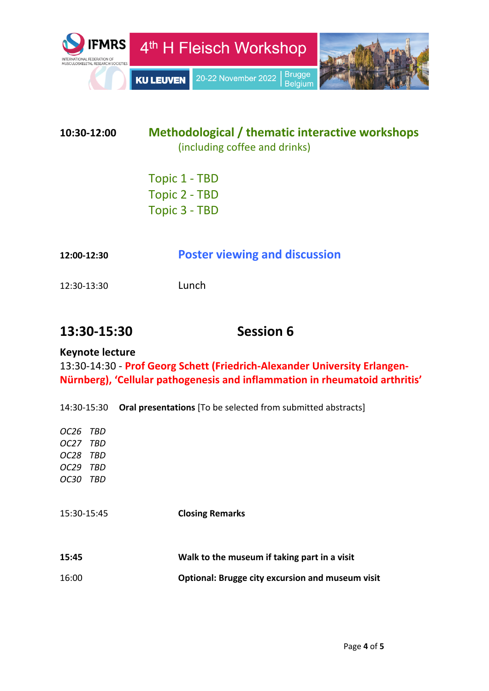

## **10:30-12:00 Methodological / thematic interactive workshops**  (including coffee and drinks)

Topic 1 - TBD Topic 2 - TBD Topic 3 - TBD

| 12:00-12:30 | <b>Poster viewing and discussion</b> |  |
|-------------|--------------------------------------|--|
|-------------|--------------------------------------|--|

12:30-13:30 Lunch

# **13:30-15:30 Session 6**

#### **Keynote lecture**

13:30-14:30 - **Prof Georg Schett (Friedrich-Alexander University Erlangen-Nürnberg), 'Cellular pathogenesis and inflammation in rheumatoid arthritis'**

14:30-15:30 **Oral presentations** [To be selected from submitted abstracts]

| OC26 TBD                |                                                         |
|-------------------------|---------------------------------------------------------|
| OC27 TBD                |                                                         |
| OC28<br>TBD             |                                                         |
| OC <sub>29</sub><br>TBD |                                                         |
| <i>OC30</i><br>TBD      |                                                         |
| 15:30-15:45             | <b>Closing Remarks</b>                                  |
| 15:45                   | Walk to the museum if taking part in a visit            |
| 16:00                   | <b>Optional: Brugge city excursion and museum visit</b> |